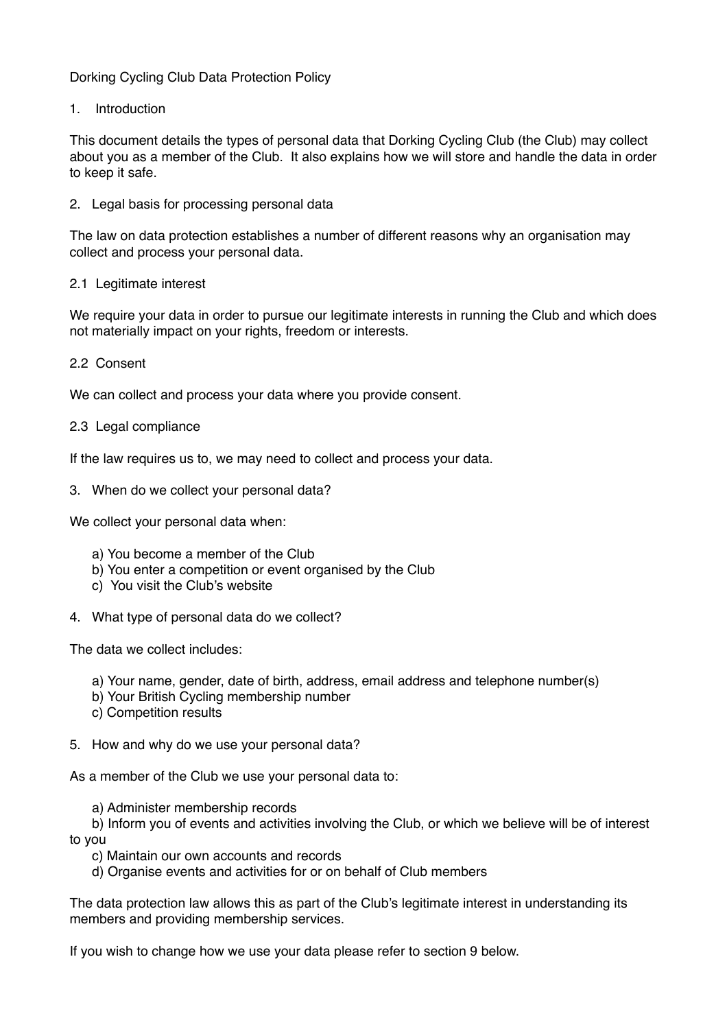# Dorking Cycling Club Data Protection Policy

1. Introduction

This document details the types of personal data that Dorking Cycling Club (the Club) may collect about you as a member of the Club. It also explains how we will store and handle the data in order to keep it safe.

2. Legal basis for processing personal data

The law on data protection establishes a number of different reasons why an organisation may collect and process your personal data.

### 2.1 Legitimate interest

We require your data in order to pursue our legitimate interests in running the Club and which does not materially impact on your rights, freedom or interests.

### 2.2 Consent

We can collect and process your data where you provide consent.

### 2.3 Legal compliance

If the law requires us to, we may need to collect and process your data.

3. When do we collect your personal data?

We collect your personal data when:

- a) You become a member of the Club
- b) You enter a competition or event organised by the Club
- c) You visit the Club's website
- 4. What type of personal data do we collect?

The data we collect includes:

- a) Your name, gender, date of birth, address, email address and telephone number(s)
- b) Your British Cycling membership number
- c) Competition results
- 5. How and why do we use your personal data?

As a member of the Club we use your personal data to:

a) Administer membership records

 b) Inform you of events and activities involving the Club, or which we believe will be of interest to you

- c) Maintain our own accounts and records
- d) Organise events and activities for or on behalf of Club members

The data protection law allows this as part of the Club's legitimate interest in understanding its members and providing membership services.

If you wish to change how we use your data please refer to section 9 below.